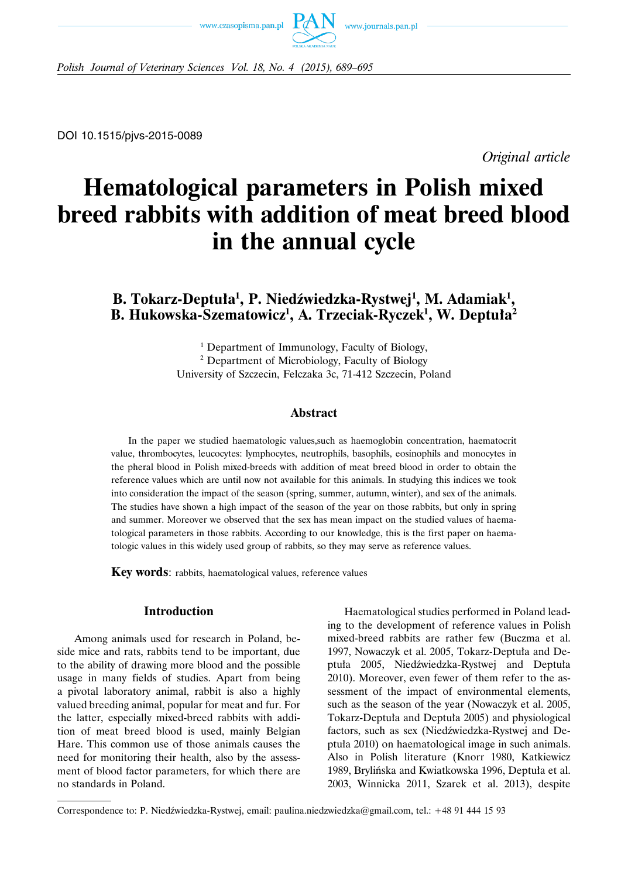



*Polish Journal of Veterinary Sciences Vol. 18, No. 4 (2015), 689–695*

DOI 10.1515/pjvs-2015-0089

*Original article*

# **Hematological parameters in Polish mixed breed rabbits with addition of meat breed blood in the annual cycle**

# **B. Tokarz-Deptuła1 , P. Niedźwiedzka-Rystwej1 , M. Adamiak1 , B. Hukowska-Szematowicz1 , A. Trzeciak-Ryczek1 , W. Deptuła2**

<sup>1</sup> Department of Immunology, Faculty of Biology, <sup>2</sup> Department of Microbiology, Faculty of Biology University of Szczecin, Felczaka 3c, 71-412 Szczecin, Poland

#### **Abstract**

In the paper we studied haematologic values,such as haemoglobin concentration, haematocrit value, thrombocytes, leucocytes: lymphocytes, neutrophils, basophils, eosinophils and monocytes in the pheral blood in Polish mixed-breeds with addition of meat breed blood in order to obtain the reference values which are until now not available for this animals. In studying this indices we took into consideration the impact of the season (spring, summer, autumn, winter), and sex of the animals. The studies have shown a high impact of the season of the year on those rabbits, but only in spring and summer. Moreover we observed that the sex has mean impact on the studied values of haematological parameters in those rabbits. According to our knowledge, this is the first paper on haematologic values in this widely used group of rabbits, so they may serve as reference values.

**Key words:** rabbits, haematological values, reference values

#### **Introduction**

Among animals used for research in Poland, beside mice and rats, rabbits tend to be important, due to the ability of drawing more blood and the possible usage in many fields of studies. Apart from being a pivotal laboratory animal, rabbit is also a highly valued breeding animal, popular for meat and fur. For the latter, especially mixed-breed rabbits with addition of meat breed blood is used, mainly Belgian Hare. This common use of those animals causes the need for monitoring their health, also by the assessment of blood factor parameters, for which there are no standards in Poland.

Haematological studies performed in Poland leading to the development of reference values in Polish mixed-breed rabbits are rather few (Buczma et al. 1997, Nowaczyk et al. 2005, Tokarz-Deptuła and Deptuła 2005, Niedźwiedzka-Rystwej and Deptuła 2010). Moreover, even fewer of them refer to the assessment of the impact of environmental elements, such as the season of the year (Nowaczyk et al. 2005, Tokarz-Deptuła and Deptuła 2005) and physiological factors, such as sex (Niedźwiedzka-Rystwej and Deptuła 2010) on haematological image in such animals. Also in Polish literature (Knorr 1980, Katkiewicz 1989, Brylińska and Kwiatkowska 1996, Deptuła et al. 2003, Winnicka 2011, Szarek et al. 2013), despite

Correspondence to: P. Niedźwiedzka-Rystwej, email: paulina.niedzwiedzka@gmail.com, tel.: +48 91 444 15 93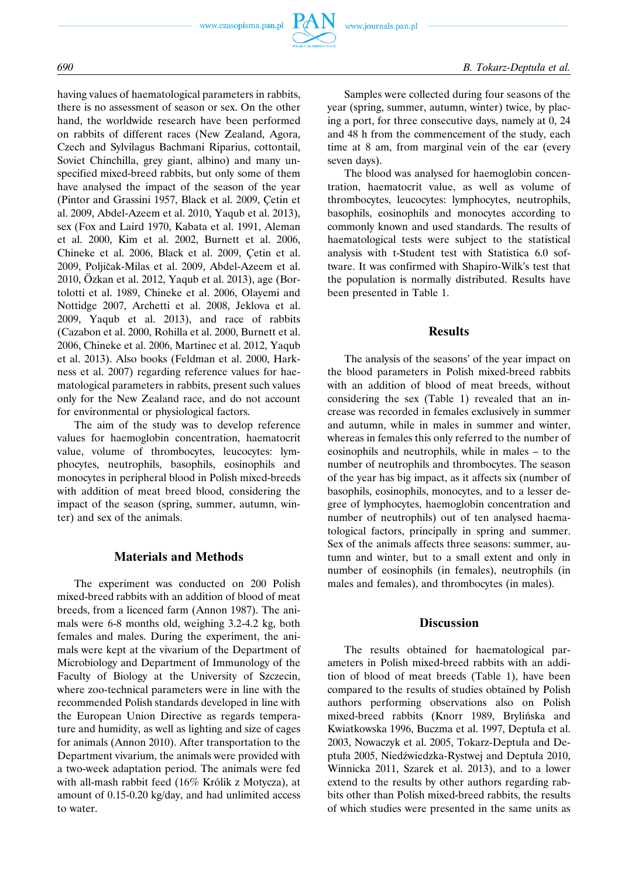

having values of haematological parameters in rabbits, there is no assessment of season or sex. On the other hand, the worldwide research have been performed on rabbits of different races (New Zealand, Agora, Czech and Sylvilagus Bachmani Riparius, cottontail, Soviet Chinchilla, grey giant, albino) and many unspecified mixed-breed rabbits, but only some of them have analysed the impact of the season of the year (Pintor and Grassini 1957, Black et al. 2009, Cetin et al. 2009, Abdel-Azeem et al. 2010, Yaqub et al. 2013), sex (Fox and Laird 1970, Kabata et al. 1991, Aleman et al. 2000, Kim et al. 2002, Burnett et al. 2006, Chineke et al. 2006, Black et al. 2009, Cetin et al. 2009, Poljičak-Milas et al. 2009, Abdel-Azeem et al. 2010, Özkan et al. 2012, Yaqub et al. 2013), age (Bortolotti et al. 1989, Chineke et al. 2006, Olayemi and Nottidge 2007, Archetti et al. 2008, Jeklova et al. 2009, Yaqub et al. 2013), and race of rabbits (Cazabon et al. 2000, Rohilla et al. 2000, Burnett et al. 2006, Chineke et al. 2006, Martinec et al. 2012, Yaqub et al. 2013). Also books (Feldman et al. 2000, Harkness et al. 2007) regarding reference values for haematological parameters in rabbits, present such values only for the New Zealand race, and do not account for environmental or physiological factors.

The aim of the study was to develop reference values for haemoglobin concentration, haematocrit value, volume of thrombocytes, leucocytes: lymphocytes, neutrophils, basophils, eosinophils and monocytes in peripheral blood in Polish mixed-breeds with addition of meat breed blood, considering the impact of the season (spring, summer, autumn, winter) and sex of the animals.

#### **Materials and Methods**

The experiment was conducted on 200 Polish mixed-breed rabbits with an addition of blood of meat breeds, from a licenced farm (Annon 1987). The animals were 6-8 months old, weighing 3.2-4.2 kg, both females and males. During the experiment, the animals were kept at the vivarium of the Department of Microbiology and Department of Immunology of the Faculty of Biology at the University of Szczecin, where zoo-technical parameters were in line with the recommended Polish standards developed in line with the European Union Directive as regards temperature and humidity, as well as lighting and size of cages for animals (Annon 2010). After transportation to the Department vivarium, the animals were provided with a two-week adaptation period. The animals were fed with all-mash rabbit feed (16% Królik z Motycza), at amount of 0.15-0.20 kg/day, and had unlimited access to water.

Samples were collected during four seasons of the year (spring, summer, autumn, winter) twice, by placing a port, for three consecutive days, namely at 0, 24 and 48 h from the commencement of the study, each time at 8 am, from marginal vein of the ear (every seven days).

The blood was analysed for haemoglobin concentration, haematocrit value, as well as volume of thrombocytes, leucocytes: lymphocytes, neutrophils, basophils, eosinophils and monocytes according to commonly known and used standards. The results of haematological tests were subject to the statistical analysis with t-Student test with Statistica 6.0 software. It was confirmed with Shapiro-Wilk's test that the population is normally distributed. Results have been presented in Table 1.

**Results**

The analysis of the seasons' of the year impact on the blood parameters in Polish mixed-breed rabbits with an addition of blood of meat breeds, without considering the sex (Table 1) revealed that an increase was recorded in females exclusively in summer and autumn, while in males in summer and winter, whereas in females this only referred to the number of eosinophils and neutrophils, while in males – to the number of neutrophils and thrombocytes. The season of the year has big impact, as it affects six (number of basophils, eosinophils, monocytes, and to a lesser degree of lymphocytes, haemoglobin concentration and number of neutrophils) out of ten analysed haematological factors, principally in spring and summer. Sex of the animals affects three seasons: summer, autumn and winter, but to a small extent and only in number of eosinophils (in females), neutrophils (in males and females), and thrombocytes (in males).

#### **Discussion**

The results obtained for haematological parameters in Polish mixed-breed rabbits with an addition of blood of meat breeds (Table 1), have been compared to the results of studies obtained by Polish authors performing observations also on Polish mixed-breed rabbits (Knorr 1989, Brylińska and Kwiatkowska 1996, Buczma et al. 1997, Deptuła et al. 2003, Nowaczyk et al. 2005, Tokarz-Deptuła and Deptuła 2005, Niedźwiedzka-Rystwej and Deptuła 2010, Winnicka 2011, Szarek et al. 2013), and to a lower extend to the results by other authors regarding rabbits other than Polish mixed-breed rabbits, the results of which studies were presented in the same units as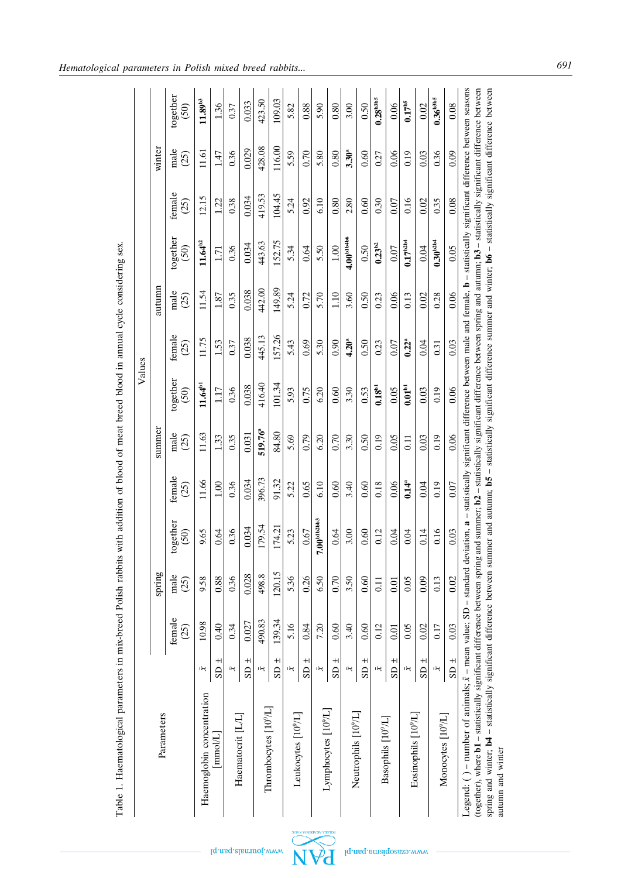|                                                                                                                                                                                                                                    |                                |                |              |                  |             |                  | Values           |              |            |                        |                     |              |                       |
|------------------------------------------------------------------------------------------------------------------------------------------------------------------------------------------------------------------------------------|--------------------------------|----------------|--------------|------------------|-------------|------------------|------------------|--------------|------------|------------------------|---------------------|--------------|-----------------------|
| Parameters                                                                                                                                                                                                                         |                                |                | spring       |                  |             | summer           |                  |              | autumn     |                        |                     | winter       |                       |
|                                                                                                                                                                                                                                    |                                | female<br>(25) | male<br>(25) | together<br>(50) | female<br>ဩ | male<br>(25)     | together<br>(50) | female<br>හි | male<br>රි | together<br>(50)       | female<br><u>ති</u> | male<br>(25) | together<br>(50)      |
| Haemoglobin concentration                                                                                                                                                                                                          | ١۶ς                            | 10.98          | 9.58         | 9.65             | 11.66       | 11.63            | $11.64^{b1}$     | 11.75        | 11.54      | $11.64^{b2}$           | 12.15               | 11.61        | $11.89^{\rm{b3}}$     |
| $[\text{mmol/L}]$                                                                                                                                                                                                                  | $\pm$<br>$\overline{\text{S}}$ | 0.40           | 0.88         | 0.64             | 1.00        | 1.33             | 1.17             | 1.53         | 1.87       | ΞI                     | 122                 | 1.47         | 1.36                  |
| Haematocrit [L/L]                                                                                                                                                                                                                  | ١۲                             | 0.34           | 0.36         | 0.36             | 0.36        | 0.35             | 0.36             | 0.37         | 0.35       | 0.36                   | 0.38                | 0.36         | 0.37                  |
|                                                                                                                                                                                                                                    | $+$<br>$\overline{\text{S}}$   | 0.027          | 0.028        | 0.034            | 0.034       | 0.031            | 0.038            | 0.038        | 0.038      | 0.034                  | 0.034               | 0.029        | 0.033                 |
| Thrombocytes [10 <sup>9</sup> /L]                                                                                                                                                                                                  | Ķ                              | 490.83         | 498.8        | 179.54           | 396.73      | 519.76ª          | 416.40           | 445.13       | 442.00     | 443.63                 | 419.53              | 428.08       | 423.50                |
|                                                                                                                                                                                                                                    | $\pm$ GS                       | 139.34         | 120.15       | 174.21           | 91.32       | 84.80            | 101.34           | 157.26       | 149.89     | 152.75                 | 104.45              | 116.00       | 109.03                |
| Leukocytes $[10^9/L]$                                                                                                                                                                                                              | Ŗ                              | 5.16           | 5.36         | 5.23             | 5.22        | 5.69             | 5.93             | 5.43         | 5.24       | 5.34                   | 5.24                | 5.59         | 5.82                  |
|                                                                                                                                                                                                                                    | $\pm$ GS                       | 0.84           | 0.26         | 0.67             | 0.65        | 0.79             | 0.75             | 0.69         | 0.72       | 0.64                   | 0.92                | 0.70         | 0.88                  |
| Lymphocytes [10 <sup>9</sup> /L]                                                                                                                                                                                                   | ۱׺                             | 7.20           | 6.50         | .00b1b2bb3<br>r. | 6.10        | 6.20             | 6.20             | 5.30         | 5.70       | 5.50                   | 6.10                | 5.80         | 5.90                  |
|                                                                                                                                                                                                                                    | $\pm$ GS                       | 0.60           | 0.70         | 0.64             | 0.60        | 0.70             | 0.60             | 0.90         | 1.10       | 001                    | 0.80                | 0.80         | 0.80                  |
| Neutrophils $[10^9L]$                                                                                                                                                                                                              | IУ                             | 3.40           | 3.50         | 3.00             | 3.40        | 3.30             | 3.30             | $4.20^{a}$   | 3.60       | 4.00 <sup>b1b4b6</sup> | 2.80                | $3.30^a$     | 3.00                  |
|                                                                                                                                                                                                                                    | $+1$<br>$\overline{\text{c}}$  | 0.60           | 0.60         | 0.60             | 0.60        | 0.50             | 0.53             | 0.50         | 0.50       | 0.50                   | 0.60                | 0.60         | 0.50                  |
| Basophils [10 <sup>9</sup> /L]                                                                                                                                                                                                     | Ķ                              | 0.12           | 0.11         | 0.12             | 0.18        | 0.19             | $0.18^{b1}$      | 0.23         | 0.23       | $0.23^{b2}$            | 0.30                | 0.27         | $0.28^{\text{b3bs}}$  |
|                                                                                                                                                                                                                                    | $SD +$                         | 0.01           | 0.01         | 0.04             | 0.06        | 0.05             | 0.05             | 0.07         | 0.06       | 0.07                   | 0.07                | 0.06         | 0.06                  |
| Eosinophils $[10^9/L]$                                                                                                                                                                                                             | Ķ                              | 0.05           | 0.05         | 0.04             | $0.14^{a}$  | $\overline{0}$ . | $0.01^{\rm bl}$  | $0.22^{a}$   | 0.13       | $0.17^{b2b4}$          | 0.16                | 0.19         | $0.17^{bs}$           |
|                                                                                                                                                                                                                                    | $SD +$                         | 0.02           | 0.09         | 0.14             | 0.04        | 0.03             | 0.03             | 0.04         | 0.02       | 0.04                   | 0.02                | 0.03         | 0.02                  |
| Monocytes [10 <sup>9</sup> /L]                                                                                                                                                                                                     | بدا                            | 0.17           | 0.13         | 0.16             | 0.19        | 0.19             | 0.19             | 0.31         | 0.28       | $0.30^{b2b4}$          | 0.35                | 0.36         | 0.36 <sup>0.3b5</sup> |
|                                                                                                                                                                                                                                    | $\pm$ GS                       | 0.03           | 0.02         | 0.03             | 0.07        | 0.06             | 0.06             | 0.03         | 0.06       | 0.05                   | 0.08                | 0.09         | 0.08                  |
| Legend: () – number of animals; $\bar{x}$ – mean value; SD – standard deviation, $a$ – statistically significant difference between male and female, $b$ – statistically significant difference between seasons                    |                                |                |              |                  |             |                  |                  |              |            |                        |                     |              |                       |
| (together), where <b>b1</b> – statistically significant difference between spring and summer, <b>b2</b> – statistically significant difference between spring and autumn; <b>b3</b> – statistically significant difference between |                                |                |              |                  |             |                  |                  |              |            |                        |                     |              |                       |
| spring and winter; <b>b4</b> – statistically significant difference between summer and autumn; <b>b5</b> – statistically significant difference summer and winter; <b>b6</b> – statistically significant difference between        |                                |                |              |                  |             |                  |                  |              |            |                        |                     |              |                       |
| autumn and winter                                                                                                                                                                                                                  |                                |                |              |                  |             |                  |                  |              |            |                        |                     |              |                       |

Table 1. Haematological parameters in mix-breed Polish rabbits with addition of blood of meat breed blood in annual cycle considering sex.

Table 1. Haematological parameters in mix-breed Polish rabbits with addition of blood of meat breed blood in annual cycle considering sex.

 $\vec{P}$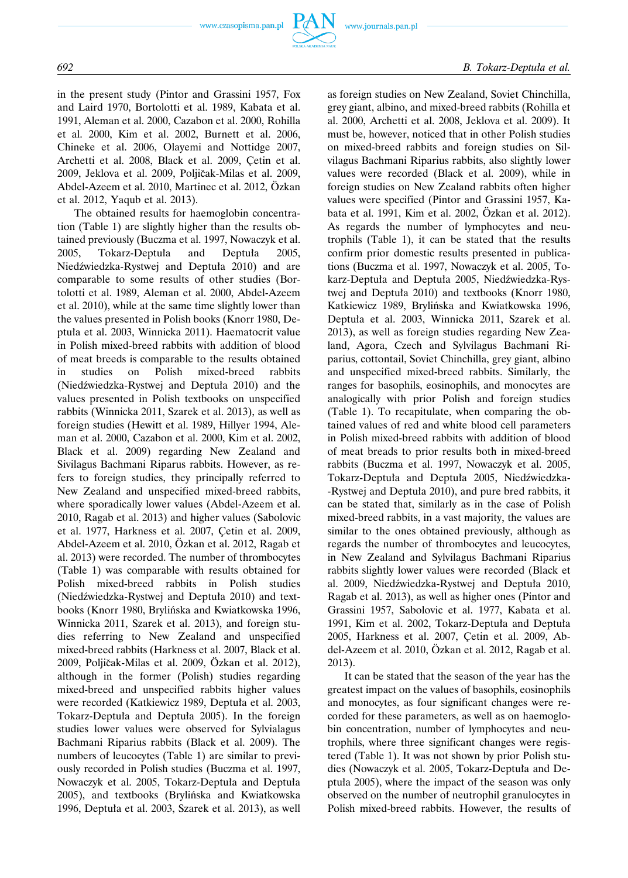

#### *692 B. Tokarz-Deptuła et al.*

in the present study (Pintor and Grassini 1957, Fox and Laird 1970, Bortolotti et al. 1989, Kabata et al. 1991, Aleman et al. 2000, Cazabon et al. 2000, Rohilla et al. 2000, Kim et al. 2002, Burnett et al. 2006, Chineke et al. 2006, Olayemi and Nottidge 2007, Archetti et al. 2008, Black et al. 2009, Cetin et al. 2009, Jeklova et al. 2009, Poljičak-Milas et al. 2009, Abdel-Azeem et al. 2010, Martinec et al. 2012, Özkan et al. 2012, Yaqub et al. 2013).

The obtained results for haemoglobin concentration (Table 1) are slightly higher than the results obtained previously (Buczma et al. 1997, Nowaczyk et al. 2005, Tokarz-Deptuła and Deptuła 2005, Niedźwiedzka-Rystwej and Deptuła 2010) and are comparable to some results of other studies (Bortolotti et al. 1989, Aleman et al. 2000, Abdel-Azeem et al. 2010), while at the same time slightly lower than the values presented in Polish books (Knorr 1980, Deptuła et al. 2003, Winnicka 2011). Haematocrit value in Polish mixed-breed rabbits with addition of blood of meat breeds is comparable to the results obtained in studies on Polish mixed-breed rabbits (Niedźwiedzka-Rystwej and Deptuła 2010) and the values presented in Polish textbooks on unspecified rabbits (Winnicka 2011, Szarek et al. 2013), as well as foreign studies (Hewitt et al. 1989, Hillyer 1994, Aleman et al. 2000, Cazabon et al. 2000, Kim et al. 2002, Black et al. 2009) regarding New Zealand and Sivilagus Bachmani Riparus rabbits. However, as refers to foreign studies, they principally referred to New Zealand and unspecified mixed-breed rabbits, where sporadically lower values (Abdel-Azeem et al. 2010, Ragab et al. 2013) and higher values (Sabolovic et al. 1977, Harkness et al. 2007, Çetin et al. 2009, Abdel-Azeem et al. 2010, Özkan et al. 2012, Ragab et al. 2013) were recorded. The number of thrombocytes (Table 1) was comparable with results obtained for Polish mixed-breed rabbits in Polish studies (Niedźwiedzka-Rystwej and Deptuła 2010) and textbooks (Knorr 1980, Brylińska and Kwiatkowska 1996, Winnicka 2011, Szarek et al. 2013), and foreign studies referring to New Zealand and unspecified mixed-breed rabbits (Harkness et al. 2007, Black et al. 2009, Poljičak-Milas et al. 2009, Özkan et al. 2012), although in the former (Polish) studies regarding mixed-breed and unspecified rabbits higher values were recorded (Katkiewicz 1989, Deptuła et al. 2003, Tokarz-Deptuła and Deptuła 2005). In the foreign studies lower values were observed for Sylvialagus Bachmani Riparius rabbits (Black et al. 2009). The numbers of leucocytes (Table 1) are similar to previously recorded in Polish studies (Buczma et al. 1997, Nowaczyk et al. 2005, Tokarz-Deptuła and Deptuła 2005), and textbooks (Brylińska and Kwiatkowska 1996, Deptuła et al. 2003, Szarek et al. 2013), as well as foreign studies on New Zealand, Soviet Chinchilla, grey giant, albino, and mixed-breed rabbits (Rohilla et al. 2000, Archetti et al. 2008, Jeklova et al. 2009). It must be, however, noticed that in other Polish studies on mixed-breed rabbits and foreign studies on Silvilagus Bachmani Riparius rabbits, also slightly lower values were recorded (Black et al. 2009), while in foreign studies on New Zealand rabbits often higher values were specified (Pintor and Grassini 1957, Kabata et al. 1991, Kim et al. 2002, Özkan et al. 2012). As regards the number of lymphocytes and neutrophils (Table 1), it can be stated that the results confirm prior domestic results presented in publications (Buczma et al. 1997, Nowaczyk et al. 2005, Tokarz-Deptuła and Deptuła 2005, Niedźwiedzka-Rystwej and Deptuła 2010) and textbooks (Knorr 1980, Katkiewicz 1989, Brylińska and Kwiatkowska 1996, Deptuła et al. 2003, Winnicka 2011, Szarek et al. 2013), as well as foreign studies regarding New Zealand, Agora, Czech and Sylvilagus Bachmani Riparius, cottontail, Soviet Chinchilla, grey giant, albino and unspecified mixed-breed rabbits. Similarly, the ranges for basophils, eosinophils, and monocytes are analogically with prior Polish and foreign studies (Table 1). To recapitulate, when comparing the obtained values of red and white blood cell parameters in Polish mixed-breed rabbits with addition of blood of meat breads to prior results both in mixed-breed rabbits (Buczma et al. 1997, Nowaczyk et al. 2005, Tokarz-Deptuła and Deptuła 2005, Niedźwiedzka- -Rystwej and Deptuła 2010), and pure bred rabbits, it can be stated that, similarly as in the case of Polish mixed-breed rabbits, in a vast majority, the values are similar to the ones obtained previously, although as regards the number of thrombocytes and leucocytes, in New Zealand and Sylvilagus Bachmani Riparius rabbits slightly lower values were recorded (Black et al. 2009, Niedźwiedzka-Rystwej and Deptuła 2010, Ragab et al. 2013), as well as higher ones (Pintor and Grassini 1957, Sabolovic et al. 1977, Kabata et al. 1991, Kim et al. 2002, Tokarz-Deptuła and Deptuła 2005, Harkness et al. 2007, Çetin et al. 2009, Abdel-Azeem et al. 2010, Özkan et al. 2012, Ragab et al. 2013).

It can be stated that the season of the year has the greatest impact on the values of basophils, eosinophils and monocytes, as four significant changes were recorded for these parameters, as well as on haemoglobin concentration, number of lymphocytes and neutrophils, where three significant changes were registered (Table 1). It was not shown by prior Polish studies (Nowaczyk et al. 2005, Tokarz-Deptuła and Deptuła 2005), where the impact of the season was only observed on the number of neutrophil granulocytes in Polish mixed-breed rabbits. However, the results of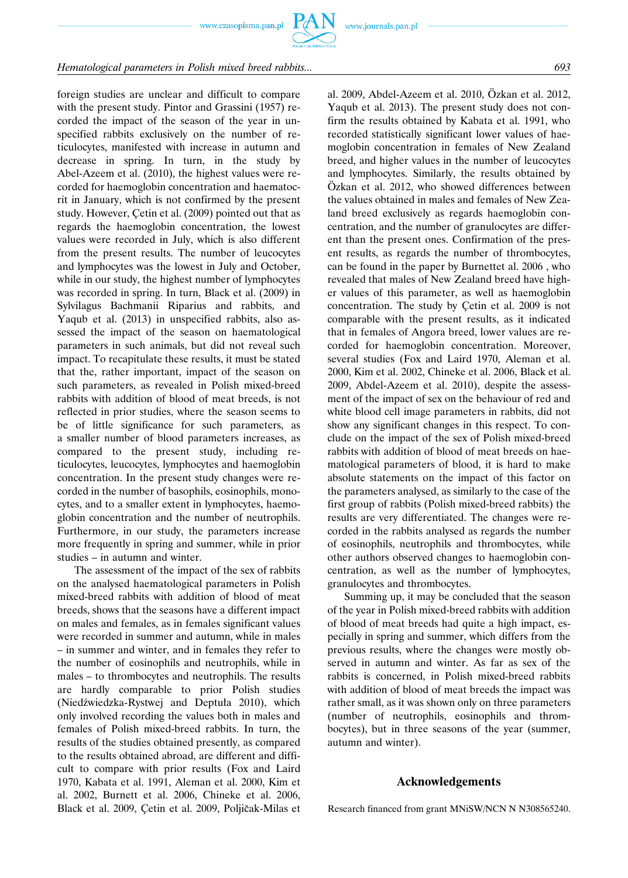

foreign studies are unclear and difficult to compare with the present study. Pintor and Grassini (1957) recorded the impact of the season of the year in unspecified rabbits exclusively on the number of reticulocytes, manifested with increase in autumn and decrease in spring. In turn, in the study by Abel-Azeem et al. (2010), the highest values were recorded for haemoglobin concentration and haematocrit in January, which is not confirmed by the present study. However, Cetin et al. (2009) pointed out that as regards the haemoglobin concentration, the lowest values were recorded in July, which is also different from the present results. The number of leucocytes and lymphocytes was the lowest in July and October, while in our study, the highest number of lymphocytes was recorded in spring. In turn, Black et al. (2009) in Sylvilagus Bachmanii Riparius and rabbits, and Yaqub et al. (2013) in unspecified rabbits, also assessed the impact of the season on haematological parameters in such animals, but did not reveal such impact. To recapitulate these results, it must be stated that the, rather important, impact of the season on such parameters, as revealed in Polish mixed-breed rabbits with addition of blood of meat breeds, is not reflected in prior studies, where the season seems to be of little significance for such parameters, as a smaller number of blood parameters increases, as compared to the present study, including reticulocytes, leucocytes, lymphocytes and haemoglobin concentration. In the present study changes were recorded in the number of basophils, eosinophils, monocytes, and to a smaller extent in lymphocytes, haemoglobin concentration and the number of neutrophils. Furthermore, in our study, the parameters increase more frequently in spring and summer, while in prior studies – in autumn and winter.

The assessment of the impact of the sex of rabbits on the analysed haematological parameters in Polish mixed-breed rabbits with addition of blood of meat breeds, shows that the seasons have a different impact on males and females, as in females significant values were recorded in summer and autumn, while in males – in summer and winter, and in females they refer to the number of eosinophils and neutrophils, while in males – to thrombocytes and neutrophils. The results are hardly comparable to prior Polish studies (Niedźwiedzka-Rystwej and Deptuła 2010), which only involved recording the values both in males and females of Polish mixed-breed rabbits. In turn, the results of the studies obtained presently, as compared to the results obtained abroad, are different and difficult to compare with prior results (Fox and Laird 1970, Kabata et al. 1991, Aleman et al. 2000, Kim et al. 2002, Burnett et al. 2006, Chineke et al. 2006, Black et al. 2009, Çetin et al. 2009, Poljičak-Milas et al. 2009, Abdel-Azeem et al. 2010, Özkan et al. 2012, Yaqub et al. 2013). The present study does not confirm the results obtained by Kabata et al. 1991, who recorded statistically significant lower values of haemoglobin concentration in females of New Zealand breed, and higher values in the number of leucocytes and lymphocytes. Similarly, the results obtained by Özkan et al. 2012, who showed differences between the values obtained in males and females of New Zealand breed exclusively as regards haemoglobin concentration, and the number of granulocytes are different than the present ones. Confirmation of the present results, as regards the number of thrombocytes, can be found in the paper by Burnettet al. 2006 , who revealed that males of New Zealand breed have higher values of this parameter, as well as haemoglobin concentration. The study by Çetin et al. 2009 is not comparable with the present results, as it indicated that in females of Angora breed, lower values are recorded for haemoglobin concentration. Moreover, several studies (Fox and Laird 1970, Aleman et al. 2000, Kim et al. 2002, Chineke et al. 2006, Black et al. 2009, Abdel-Azeem et al. 2010), despite the assessment of the impact of sex on the behaviour of red and white blood cell image parameters in rabbits, did not show any significant changes in this respect. To conclude on the impact of the sex of Polish mixed-breed rabbits with addition of blood of meat breeds on haematological parameters of blood, it is hard to make absolute statements on the impact of this factor on the parameters analysed, as similarly to the case of the first group of rabbits (Polish mixed-breed rabbits) the results are very differentiated. The changes were recorded in the rabbits analysed as regards the number of eosinophils, neutrophils and thrombocytes, while other authors observed changes to haemoglobin concentration, as well as the number of lymphocytes, granulocytes and thrombocytes.

Summing up, it may be concluded that the season of the year in Polish mixed-breed rabbits with addition of blood of meat breeds had quite a high impact, especially in spring and summer, which differs from the previous results, where the changes were mostly observed in autumn and winter. As far as sex of the rabbits is concerned, in Polish mixed-breed rabbits with addition of blood of meat breeds the impact was rather small, as it was shown only on three parameters (number of neutrophils, eosinophils and thrombocytes), but in three seasons of the year (summer, autumn and winter).

#### **Acknowledgements**

Research financed from grant MNiSW/NCN N N308565240.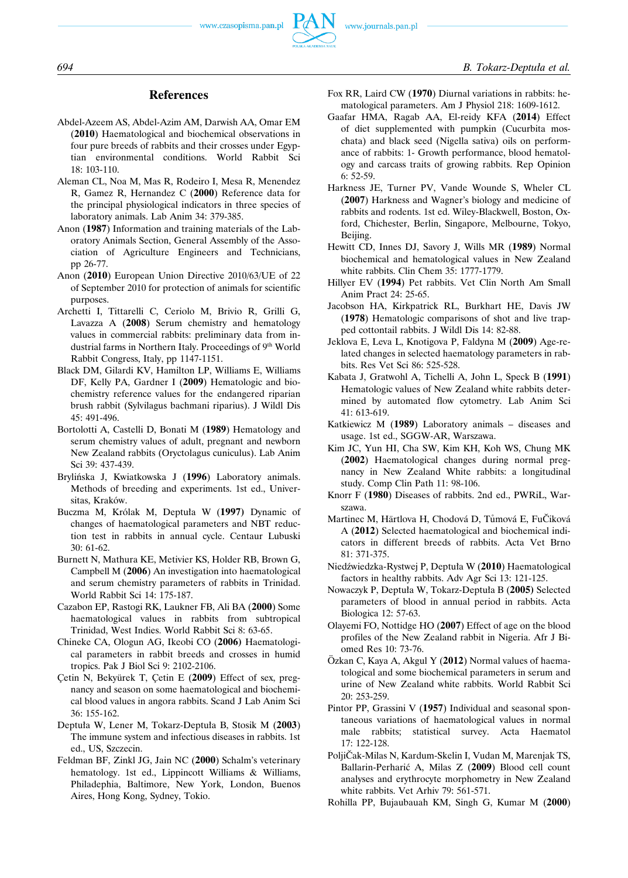## **References**

- Abdel-Azeem AS, Abdel-Azim AM, Darwish AA, Omar EM (**2010**) Haematological and biochemical observations in four pure breeds of rabbits and their crosses under Egyptian environmental conditions. World Rabbit Sci 18: 103-110.
- Aleman CL, Noa M, Mas R, Rodeiro I, Mesa R, Menendez R, Gamez R, Hernandez C (**2000**) Reference data for the principal physiological indicators in three species of laboratory animals. Lab Anim 34: 379-385.
- Anon (**1987**) Information and training materials of the Laboratory Animals Section, General Assembly of the Association of Agriculture Engineers and Technicians, pp 26-77.
- Anon (**2010**) European Union Directive 2010/63/UE of 22 of September 2010 for protection of animals for scientific purposes.
- Archetti I, Tittarelli C, Ceriolo M, Brivio R, Grilli G, Lavazza A (**2008**) Serum chemistry and hematology values in commercial rabbits: preliminary data from industrial farms in Northern Italy. Proceedings of 9<sup>th</sup> World Rabbit Congress, Italy, pp 1147-1151.
- Black DM, Gilardi KV, Hamilton LP, Williams E, Williams DF, Kelly PA, Gardner I (**2009**) Hematologic and biochemistry reference values for the endangered riparian brush rabbit (Sylvilagus bachmani riparius). J Wildl Dis 45: 491-496.
- Bortolotti A, Castelli D, Bonati M (**1989**) Hematology and serum chemistry values of adult, pregnant and newborn New Zealand rabbits (Oryctolagus cuniculus). Lab Anim Sci 39: 437-439.
- Brylińska J, Kwiatkowska J (**1996**) Laboratory animals. Methods of breeding and experiments. 1st ed., Universitas, Kraków.
- Buczma M, Królak M, Deptuła W (**1997)** Dynamic of changes of haematological parameters and NBT reduction test in rabbits in annual cycle. Centaur Lubuski 30: 61-62.
- Burnett N, Mathura KE, Metivier KS, Holder RB, Brown G, Campbell M (**2006**) An investigation into haematological and serum chemistry parameters of rabbits in Trinidad. World Rabbit Sci 14: 175-187.
- Cazabon EP, Rastogi RK, Laukner FB, Ali BA (**2000**) Some haematological values in rabbits from subtropical Trinidad, West Indies. World Rabbit Sci 8: 63-65.
- Chineke CA, Ologun AG, Ikeobi CO (**2006)** Haematological parameters in rabbit breeds and crosses in humid tropics. Pak J Biol Sci 9: 2102-2106.
- Cetin N, Bekyürek T, Cetin E (2009) Effect of sex, pregnancy and season on some haematological and biochemical blood values in angora rabbits. Scand J Lab Anim Sci 36: 155-162.
- Deptuła W, Lener M, Tokarz-Deptuła B, Stosik M (**2003**) The immune system and infectious diseases in rabbits. 1st ed., US, Szczecin.
- Feldman BF, Zinkl JG, Jain NC (**2000**) Schalm's veterinary hematology. 1st ed., Lippincott Williams & Williams, Philadephia, Baltimore, New York, London, Buenos Aires, Hong Kong, Sydney, Tokio.
- Fox RR, Laird CW (**1970**) Diurnal variations in rabbits: hematological parameters. Am J Physiol 218: 1609-1612.
- Gaafar HMA, Ragab AA, El-reidy KFA (**2014**) Effect of diet supplemented with pumpkin (Cucurbita moschata) and black seed (Nigella sativa) oils on performance of rabbits: 1- Growth performance, blood hematology and carcass traits of growing rabbits. Rep Opinion 6: 52-59.
- Harkness JE, Turner PV, Vande Wounde S, Wheler CL (**2007**) Harkness and Wagner's biology and medicine of rabbits and rodents. 1st ed. Wiley-Blackwell, Boston, Oxford, Chichester, Berlin, Singapore, Melbourne, Tokyo, Beijing.
- Hewitt CD, Innes DJ, Savory J, Wills MR (**1989**) Normal biochemical and hematological values in New Zealand white rabbits. Clin Chem 35: 1777-1779.
- Hillyer EV (**1994**) Pet rabbits. Vet Clin North Am Small Anim Pract 24: 25-65.
- Jacobson HA, Kirkpatrick RL, Burkhart HE, Davis JW (**1978**) Hematologic comparisons of shot and live trapped cottontail rabbits. J Wildl Dis 14: 82-88.
- Jeklova E, Leva L, Knotigova P, Faldyna M (**2009**) Age-related changes in selected haematology parameters in rabbits. Res Vet Sci 86: 525-528.
- Kabata J, Gratwohl A, Tichelli A, John L, Speck B (**1991**) Hematologic values of New Zealand white rabbits determined by automated flow cytometry. Lab Anim Sci 41: 613-619.
- Katkiewicz M (**1989**) Laboratory animals diseases and usage. 1st ed., SGGW-AR, Warszawa.
- Kim JC, Yun HI, Cha SW, Kim KH, Koh WS, Chung MK (**2002**) Haematological changes during normal pregnancy in New Zealand White rabbits: a longitudinal study. Comp Clin Path 11: 98-106.
- Knorr F (**1980**) Diseases of rabbits. 2nd ed., PWRiL, Warszawa.
- Martinec M, Härtlova H, Chodová D, Tůmová E, FuČiková A (**2012**) Selected haematological and biochemical indicators in different breeds of rabbits. Acta Vet Brno 81: 371-375.
- Niedźwiedzka-Rystwej P, Deptuła W (**2010**) Haematological factors in healthy rabbits. Adv Agr Sci 13: 121-125.
- Nowaczyk P, Deptuła W, Tokarz-Deptuła B (**2005)** Selected parameters of blood in annual period in rabbits. Acta Biologica 12: 57-63.
- Olayemi FO, Nottidge HO (**2007**) Effect of age on the blood profiles of the New Zealand rabbit in Nigeria. Afr J Biomed Res 10: 73-76.
- Özkan C, Kaya A, Akgul Y (2012) Normal values of haematological and some biochemical parameters in serum and urine of New Zealand white rabbits. World Rabbit Sci 20: 253-259.
- Pintor PP, Grassini V (**1957**) Individual and seasonal spontaneous variations of haematological values in normal male rabbits; statistical survey. Acta Haematol 17: 122-128.
- PoljiČak-Milas N, Kardum-Skelin I, Vudan M, Marenjak TS, Ballarin-Perharić A, Milas Z (**2009**) Blood cell count analyses and erythrocyte morphometry in New Zealand white rabbits. Vet Arhiv 79: 561-571.
- Rohilla PP, Bujaubauah KM, Singh G, Kumar M (**2000**)